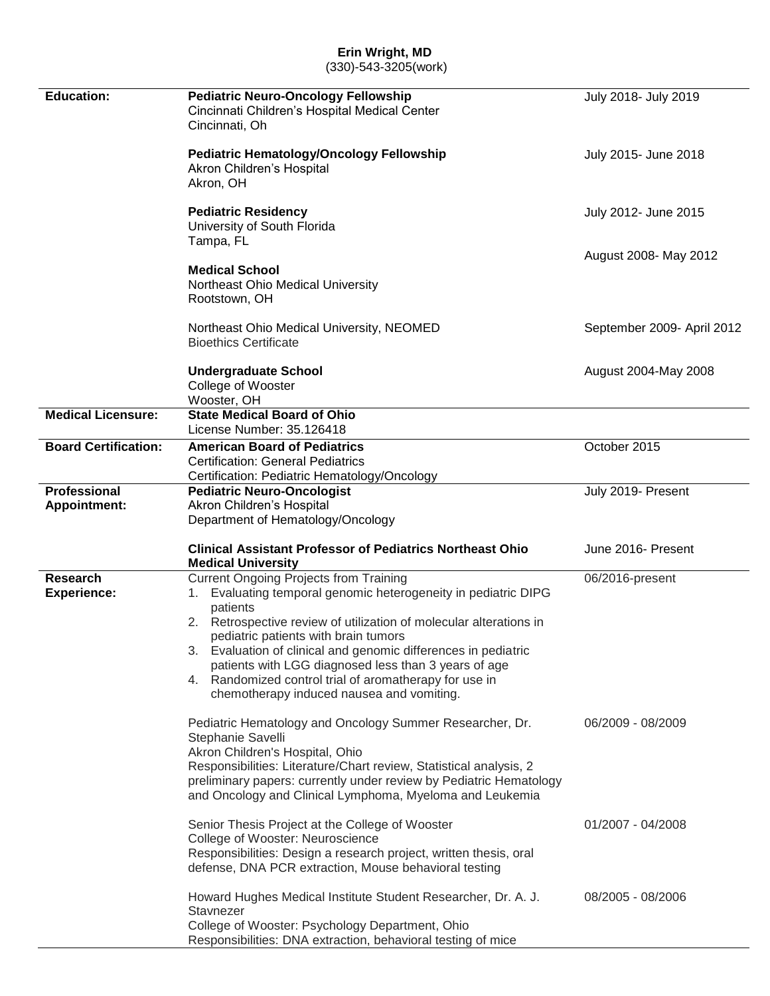# **Erin Wright, MD**

(330)-543-3205(work)

| <b>Education:</b>                     | <b>Pediatric Neuro-Oncology Fellowship</b><br>Cincinnati Children's Hospital Medical Center<br>Cincinnati, Oh                                                                                                                                                                                                                                                                                                                                                                 | July 2018- July 2019       |
|---------------------------------------|-------------------------------------------------------------------------------------------------------------------------------------------------------------------------------------------------------------------------------------------------------------------------------------------------------------------------------------------------------------------------------------------------------------------------------------------------------------------------------|----------------------------|
|                                       | <b>Pediatric Hematology/Oncology Fellowship</b><br>Akron Children's Hospital<br>Akron, OH                                                                                                                                                                                                                                                                                                                                                                                     | July 2015- June 2018       |
|                                       | <b>Pediatric Residency</b><br>University of South Florida<br>Tampa, FL                                                                                                                                                                                                                                                                                                                                                                                                        | July 2012- June 2015       |
|                                       | <b>Medical School</b><br>Northeast Ohio Medical University<br>Rootstown, OH                                                                                                                                                                                                                                                                                                                                                                                                   | August 2008- May 2012      |
|                                       | Northeast Ohio Medical University, NEOMED<br><b>Bioethics Certificate</b>                                                                                                                                                                                                                                                                                                                                                                                                     | September 2009- April 2012 |
|                                       | <b>Undergraduate School</b><br>College of Wooster<br>Wooster, OH                                                                                                                                                                                                                                                                                                                                                                                                              | August 2004-May 2008       |
| <b>Medical Licensure:</b>             | <b>State Medical Board of Ohio</b><br>License Number: 35.126418                                                                                                                                                                                                                                                                                                                                                                                                               |                            |
| <b>Board Certification:</b>           | <b>American Board of Pediatrics</b><br><b>Certification: General Pediatrics</b><br>Certification: Pediatric Hematology/Oncology                                                                                                                                                                                                                                                                                                                                               | October 2015               |
| <b>Professional</b>                   | <b>Pediatric Neuro-Oncologist</b>                                                                                                                                                                                                                                                                                                                                                                                                                                             | July 2019- Present         |
| <b>Appointment:</b>                   | Akron Children's Hospital<br>Department of Hematology/Oncology                                                                                                                                                                                                                                                                                                                                                                                                                |                            |
|                                       | <b>Clinical Assistant Professor of Pediatrics Northeast Ohio</b><br><b>Medical University</b>                                                                                                                                                                                                                                                                                                                                                                                 | June 2016- Present         |
| <b>Research</b><br><b>Experience:</b> | <b>Current Ongoing Projects from Training</b><br>Evaluating temporal genomic heterogeneity in pediatric DIPG<br>1.<br>patients<br>2. Retrospective review of utilization of molecular alterations in<br>pediatric patients with brain tumors<br>3. Evaluation of clinical and genomic differences in pediatric<br>patients with LGG diagnosed less than 3 years of age<br>4. Randomized control trial of aromatherapy for use in<br>chemotherapy induced nausea and vomiting. | 06/2016-present            |
|                                       | Pediatric Hematology and Oncology Summer Researcher, Dr.<br>Stephanie Savelli<br>Akron Children's Hospital, Ohio<br>Responsibilities: Literature/Chart review, Statistical analysis, 2<br>preliminary papers: currently under review by Pediatric Hematology<br>and Oncology and Clinical Lymphoma, Myeloma and Leukemia                                                                                                                                                      | 06/2009 - 08/2009          |
|                                       | Senior Thesis Project at the College of Wooster<br>College of Wooster: Neuroscience<br>Responsibilities: Design a research project, written thesis, oral<br>defense, DNA PCR extraction, Mouse behavioral testing                                                                                                                                                                                                                                                             | 01/2007 - 04/2008          |
|                                       | Howard Hughes Medical Institute Student Researcher, Dr. A. J.<br>Stavnezer<br>College of Wooster: Psychology Department, Ohio<br>Responsibilities: DNA extraction, behavioral testing of mice                                                                                                                                                                                                                                                                                 | 08/2005 - 08/2006          |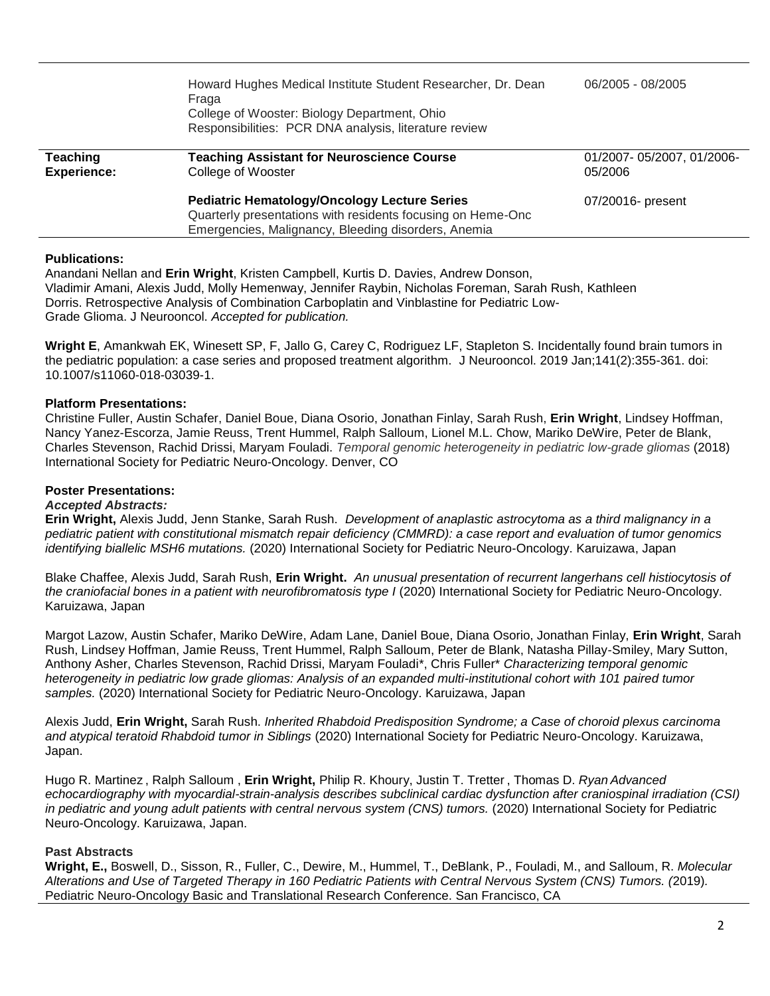|                                       | Howard Hughes Medical Institute Student Researcher, Dr. Dean<br>Fraga<br>College of Wooster: Biology Department, Ohio<br>Responsibilities: PCR DNA analysis, literature review | 06/2005 - 08/2005                    |
|---------------------------------------|--------------------------------------------------------------------------------------------------------------------------------------------------------------------------------|--------------------------------------|
| <b>Teaching</b><br><b>Experience:</b> | <b>Teaching Assistant for Neuroscience Course</b><br>College of Wooster                                                                                                        | 01/2007-05/2007, 01/2006-<br>05/2006 |
|                                       | <b>Pediatric Hematology/Oncology Lecture Series</b><br>Quarterly presentations with residents focusing on Heme-Onc<br>Emergencies, Malignancy, Bleeding disorders, Anemia      | 07/20016- present                    |

#### **Publications:**

Anandani Nellan and **Erin Wright**, Kristen Campbell, Kurtis D. Davies, Andrew Donson, Vladimir Amani, Alexis Judd, Molly Hemenway, Jennifer Raybin, Nicholas Foreman, Sarah Rush, Kathleen Dorris. Retrospective Analysis of Combination Carboplatin and Vinblastine for Pediatric Low-Grade Glioma. J Neurooncol. *Accepted for publication.* 

**[Wright E](https://www.ncbi.nlm.nih.gov/pubmed/?term=Wright%20E%5BAuthor%5D&cauthor=true&cauthor_uid=30411179)**, [Amankwah EK,](https://www.ncbi.nlm.nih.gov/pubmed/?term=Amankwah%20EK%5BAuthor%5D&cauthor=true&cauthor_uid=30411179) [Winesett SP,](https://www.ncbi.nlm.nih.gov/pubmed/?term=Winesett%20SP%5BAuthor%5D&cauthor=true&cauthor_uid=30411179) [F,](https://www.ncbi.nlm.nih.gov/pubmed/?term=Tuite%20GF%5BAuthor%5D&cauthor=true&cauthor_uid=30411179) [Jallo G,](https://www.ncbi.nlm.nih.gov/pubmed/?term=Jallo%20G%5BAuthor%5D&cauthor=true&cauthor_uid=30411179) [Carey C,](https://www.ncbi.nlm.nih.gov/pubmed/?term=Carey%20C%5BAuthor%5D&cauthor=true&cauthor_uid=30411179) [Rodriguez LF,](https://www.ncbi.nlm.nih.gov/pubmed/?term=Rodriguez%20LF%5BAuthor%5D&cauthor=true&cauthor_uid=30411179) [Stapleton S.](https://www.ncbi.nlm.nih.gov/pubmed/?term=Stapleton%20S%5BAuthor%5D&cauthor=true&cauthor_uid=30411179) Incidentally found brain tumors in the pediatric population: a case series and proposed treatment algorithm. [J Neurooncol.](https://www.ncbi.nlm.nih.gov/pubmed/?term=erin+wright+low+grade) 2019 Jan;141(2):355-361. doi: 10.1007/s11060-018-03039-1.

### **Platform Presentations:**

Christine Fuller, Austin Schafer, Daniel Boue, Diana Osorio, Jonathan Finlay, Sarah Rush, **Erin Wright**, Lindsey Hoffman, Nancy Yanez-Escorza, Jamie Reuss, Trent Hummel, Ralph Salloum, Lionel M.L. Chow, Mariko DeWire, Peter de Blank, Charles Stevenson, Rachid Drissi, Maryam Fouladi. *[Temporal genomic heterogeneity in pediatric low-grade gliomas](https://ispno.conference-services.net/reports/template/onetextabstract.xml?xsl=template/onetextabstract.xsl&conferenceID=5352&abstractID=1078675)* (2018) International Society for Pediatric Neuro-Oncology. Denver, CO

## **Poster Presentations:**

#### *Accepted Abstracts:*

**Erin Wright,** Alexis Judd, Jenn Stanke, Sarah Rush. *Development of anaplastic astrocytoma as a third malignancy in a pediatric patient with constitutional mismatch repair deficiency (CMMRD): a case report and evaluation of tumor genomics identifying biallelic MSH6 mutations.* (2020) International Society for Pediatric Neuro-Oncology. Karuizawa, Japan

Blake Chaffee, Alexis Judd, Sarah Rush, **Erin Wright.** *An unusual presentation of recurrent langerhans cell histiocytosis of the craniofacial bones in a patient with neurofibromatosis type I* (2020) International Society for Pediatric Neuro-Oncology. Karuizawa, Japan

Margot Lazow, Austin Schafer, Mariko DeWire, Adam Lane, Daniel Boue, Diana Osorio, Jonathan Finlay, **Erin Wright**, Sarah Rush, Lindsey Hoffman, Jamie Reuss, Trent Hummel, Ralph Salloum, Peter de Blank, Natasha Pillay-Smiley, Mary Sutton, Anthony Asher, Charles Stevenson, Rachid Drissi, Maryam Fouladi\*, Chris Fuller\* *Characterizing temporal genomic heterogeneity in pediatric low grade gliomas: Analysis of an expanded multi-institutional cohort with 101 paired tumor samples.* (2020) International Society for Pediatric Neuro-Oncology. Karuizawa, Japan

Alexis Judd, **Erin Wright,** Sarah Rush. *Inherited Rhabdoid Predisposition Syndrome; a Case of choroid plexus carcinoma and atypical teratoid Rhabdoid tumor in Siblings* (2020) International Society for Pediatric Neuro-Oncology. Karuizawa, Japan.

Hugo R. Martinez , Ralph Salloum , **Erin Wright,** Philip R. Khoury, Justin T. Tretter , Thomas D. *Ryan Advanced echocardiography with myocardial-strain-analysis describes subclinical cardiac dysfunction after craniospinal irradiation (CSI) in pediatric and young adult patients with central nervous system (CNS) tumors.* (2020) International Society for Pediatric Neuro-Oncology. Karuizawa, Japan.

# **Past Abstracts**

**Wright, E.,** Boswell, D., Sisson, R., Fuller, C., Dewire, M., Hummel, T., DeBlank, P., Fouladi, M., and Salloum, R. *Molecular Alterations and Use of Targeted Therapy in 160 Pediatric Patients with Central Nervous System (CNS) Tumors. (*2019)*.* Pediatric Neuro-Oncology Basic and Translational Research Conference. San Francisco, CA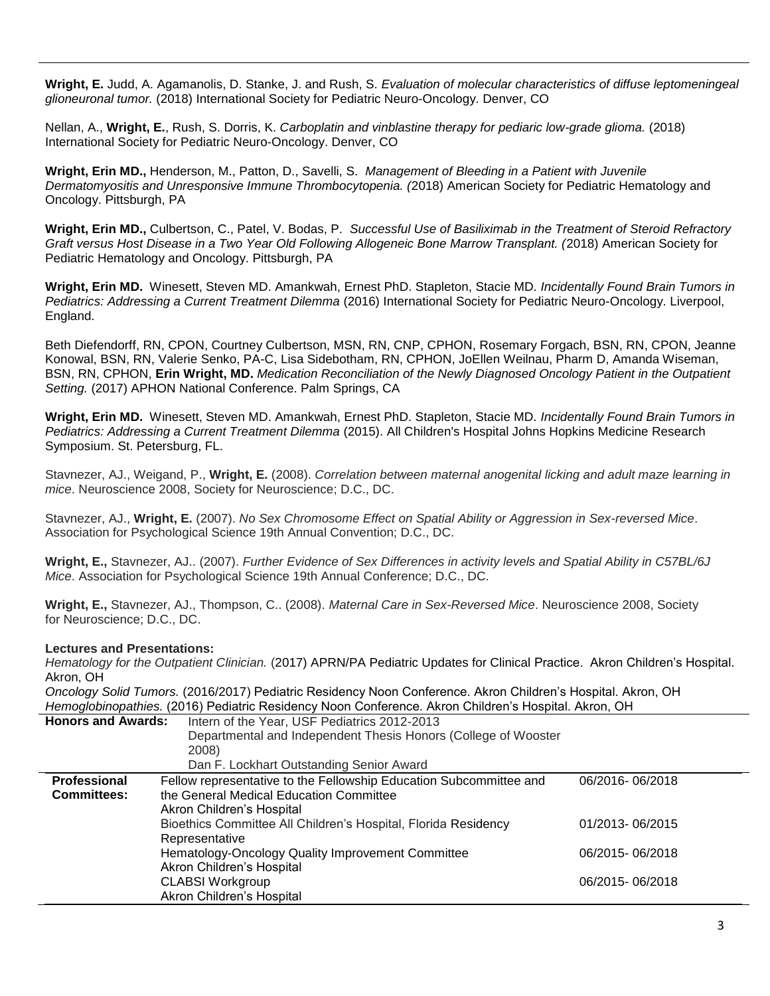**Wright, E.** Judd, A. Agamanolis, D. Stanke, J. and Rush, S. *Evaluation of molecular characteristics of diffuse leptomeningeal glioneuronal tumor.* (2018) International Society for Pediatric Neuro-Oncology. Denver, CO

Nellan, A., **Wright, E.**, Rush, S. Dorris, K. *Carboplatin and vinblastine therapy for pediaric low-grade glioma.* (2018) International Society for Pediatric Neuro-Oncology. Denver, CO

**Wright, Erin MD.,** Henderson, M., Patton, D., Savelli, S. *Management of Bleeding in a Patient with Juvenile Dermatomyositis and Unresponsive Immune Thrombocytopenia. (*2018) American Society for Pediatric Hematology and Oncology. Pittsburgh, PA

**Wright, Erin MD.,** Culbertson, C., Patel, V. Bodas, P. *Successful Use of Basiliximab in the Treatment of Steroid Refractory Graft versus Host Disease in a Two Year Old Following Allogeneic Bone Marrow Transplant. (*2018) American Society for Pediatric Hematology and Oncology. Pittsburgh, PA

**Wright, Erin MD.** Winesett, Steven MD. Amankwah, Ernest PhD. Stapleton, Stacie MD. *Incidentally Found Brain Tumors in Pediatrics: Addressing a Current Treatment Dilemma* (2016) International Society for Pediatric Neuro-Oncology. Liverpool, England.

Beth Diefendorff, RN, CPON, Courtney Culbertson, MSN, RN, CNP, CPHON, Rosemary Forgach, BSN, RN, CPON, Jeanne Konowal, BSN, RN, Valerie Senko, PA-C, Lisa Sidebotham, RN, CPHON, JoEllen Weilnau, Pharm D, Amanda Wiseman, BSN, RN, CPHON, **Erin Wright, MD.** *Medication Reconciliation of the Newly Diagnosed Oncology Patient in the Outpatient Setting.* (2017) APHON National Conference. Palm Springs, CA

**Wright, Erin MD.** Winesett, Steven MD. Amankwah, Ernest PhD. Stapleton, Stacie MD. *Incidentally Found Brain Tumors in Pediatrics: Addressing a Current Treatment Dilemma* (2015). All Children's Hospital Johns Hopkins Medicine Research Symposium. St. Petersburg, FL.

Stavnezer, AJ., Weigand, P., **Wright, E.** (2008). *Correlation between maternal anogenital licking and adult maze learning in mice*. Neuroscience 2008, Society for Neuroscience; D.C., DC.

Stavnezer, AJ., **Wright, E.** (2007). *No Sex Chromosome Effect on Spatial Ability or Aggression in Sex-reversed Mice*. Association for Psychological Science 19th Annual Convention; D.C., DC.

**Wright, E.,** Stavnezer, AJ.. (2007). *Further Evidence of Sex Differences in activity levels and Spatial Ability in C57BL/6J Mice*. Association for Psychological Science 19th Annual Conference; D.C., DC.

**Wright, E.,** Stavnezer, AJ., Thompson, C.. (2008). *Maternal Care in Sex-Reversed Mice*. Neuroscience 2008, Society for Neuroscience; D.C., DC.

### **Lectures and Presentations:**

*Hematology for the Outpatient Clinician.* (2017) APRN/PA Pediatric Updates for Clinical Practice. Akron Children's Hospital. Akron, OH

*Oncology Solid Tumors.* (2016/2017) Pediatric Residency Noon Conference. Akron Children's Hospital. Akron, OH *Hemoglobinopathies.* (2016) Pediatric Residency Noon Conference. Akron Children's Hospital. Akron, OH

| <b>Honors and Awards:</b>                                      | Intern of the Year, USF Pediatrics 2012-2013                       |                 |
|----------------------------------------------------------------|--------------------------------------------------------------------|-----------------|
| Departmental and Independent Thesis Honors (College of Wooster |                                                                    |                 |
|                                                                | 2008)                                                              |                 |
|                                                                | Dan F. Lockhart Outstanding Senior Award                           |                 |
| Professional                                                   | Fellow representative to the Fellowship Education Subcommittee and | 06/2016-06/2018 |
| <b>Committees:</b>                                             | the General Medical Education Committee                            |                 |
|                                                                | Akron Children's Hospital                                          |                 |
|                                                                | Bioethics Committee All Children's Hospital, Florida Residency     | 01/2013-06/2015 |
|                                                                | Representative                                                     |                 |
|                                                                | Hematology-Oncology Quality Improvement Committee                  | 06/2015-06/2018 |
|                                                                | Akron Children's Hospital                                          |                 |
|                                                                | <b>CLABSI Workgroup</b>                                            | 06/2015-06/2018 |
|                                                                | Akron Children's Hospital                                          |                 |